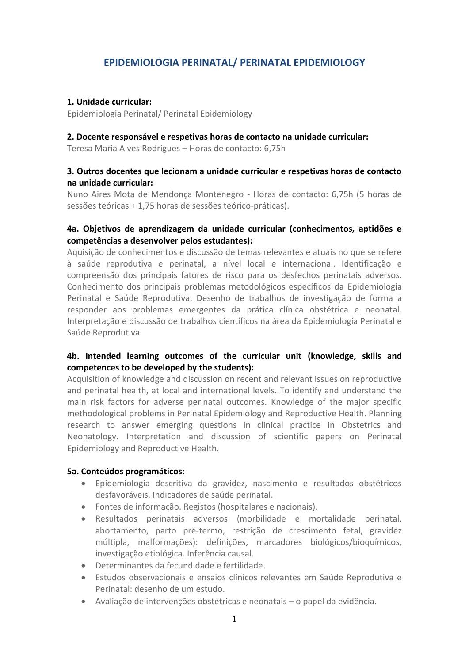# **EPIDEMIOLOGIA PERINATAL/ PERINATAL EPIDEMIOLOGY**

#### **1. Unidade curricular:**

Epidemiologia Perinatal/ Perinatal Epidemiology

#### **2. Docente responsável e respetivas horas de contacto na unidade curricular:**

Teresa Maria Alves Rodrigues – Horas de contacto: 6,75h

# **3. Outros docentes que lecionam a unidade curricular e respetivas horas de contacto na unidade curricular:**

Nuno Aires Mota de Mendonça Montenegro - Horas de contacto: 6,75h (5 horas de sessões teóricas + 1,75 horas de sessões teórico-práticas).

# **4a. Objetivos de aprendizagem da unidade curricular (conhecimentos, aptidões e competências a desenvolver pelos estudantes):**

Aquisição de conhecimentos e discussão de temas relevantes e atuais no que se refere à saúde reprodutiva e perinatal, a nível local e internacional. Identificação e compreensão dos principais fatores de risco para os desfechos perinatais adversos. Conhecimento dos principais problemas metodológicos específicos da Epidemiologia Perinatal e Saúde Reprodutiva. Desenho de trabalhos de investigação de forma a responder aos problemas emergentes da prática clínica obstétrica e neonatal. Interpretação e discussão de trabalhos científicos na área da Epidemiologia Perinatal e Saúde Reprodutiva.

# **4b. Intended learning outcomes of the curricular unit (knowledge, skills and competences to be developed by the students):**

Acquisition of knowledge and discussion on recent and relevant issues on reproductive and perinatal health, at local and international levels. To identify and understand the main risk factors for adverse perinatal outcomes. Knowledge of the major specific methodological problems in Perinatal Epidemiology and Reproductive Health. Planning research to answer emerging questions in clinical practice in Obstetrics and Neonatology. Interpretation and discussion of scientific papers on Perinatal Epidemiology and Reproductive Health.

#### **5a. Conteúdos programáticos:**

- Epidemiologia descritiva da gravidez, nascimento e resultados obstétricos desfavoráveis. Indicadores de saúde perinatal.
- Fontes de informação. Registos (hospitalares e nacionais).
- Resultados perinatais adversos (morbilidade e mortalidade perinatal, abortamento, parto pré-termo, restrição de crescimento fetal, gravidez múltipla, malformações): definições, marcadores biológicos/bioquímicos, investigação etiológica. Inferência causal.
- Determinantes da fecundidade e fertilidade.
- Estudos observacionais e ensaios clínicos relevantes em Saúde Reprodutiva e Perinatal: desenho de um estudo.
- Avaliação de intervenções obstétricas e neonatais o papel da evidência.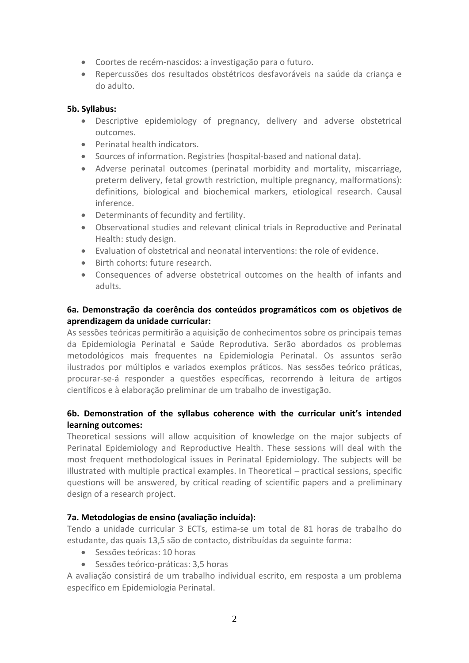- Coortes de recém-nascidos: a investigação para o futuro.
- Repercussões dos resultados obstétricos desfavoráveis na saúde da criança e do adulto.

### **5b. Syllabus:**

- Descriptive epidemiology of pregnancy, delivery and adverse obstetrical outcomes.
- Perinatal health indicators.
- Sources of information. Registries (hospital-based and national data).
- Adverse perinatal outcomes (perinatal morbidity and mortality, miscarriage, preterm delivery, fetal growth restriction, multiple pregnancy, malformations): definitions, biological and biochemical markers, etiological research. Causal inference.
- Determinants of fecundity and fertility.
- Observational studies and relevant clinical trials in Reproductive and Perinatal Health: study design.
- Evaluation of obstetrical and neonatal interventions: the role of evidence.
- Birth cohorts: future research.
- Consequences of adverse obstetrical outcomes on the health of infants and adults.

# **6a. Demonstração da coerência dos conteúdos programáticos com os objetivos de aprendizagem da unidade curricular:**

As sessões teóricas permitirão a aquisição de conhecimentos sobre os principais temas da Epidemiologia Perinatal e Saúde Reprodutiva. Serão abordados os problemas metodológicos mais frequentes na Epidemiologia Perinatal. Os assuntos serão ilustrados por múltiplos e variados exemplos práticos. Nas sessões teórico práticas, procurar-se-á responder a questões específicas, recorrendo à leitura de artigos científicos e à elaboração preliminar de um trabalho de investigação.

# **6b. Demonstration of the syllabus coherence with the curricular unit's intended learning outcomes:**

Theoretical sessions will allow acquisition of knowledge on the major subjects of Perinatal Epidemiology and Reproductive Health. These sessions will deal with the most frequent methodological issues in Perinatal Epidemiology. The subjects will be illustrated with multiple practical examples. In Theoretical – practical sessions, specific questions will be answered, by critical reading of scientific papers and a preliminary design of a research project.

# **7a. Metodologias de ensino (avaliação incluída):**

Tendo a unidade curricular 3 ECTs, estima-se um total de 81 horas de trabalho do estudante, das quais 13,5 são de contacto, distribuídas da seguinte forma:

- Sessões teóricas: 10 horas
- Sessões teórico-práticas: 3,5 horas

A avaliação consistirá de um trabalho individual escrito, em resposta a um problema específico em Epidemiologia Perinatal.